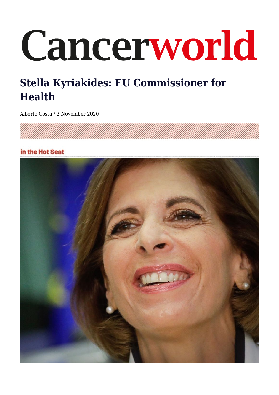# Cancerworld

# **Stella Kyriakides: EU Commissioner for Health**

Alberto Costa / 2 November 2020

## in the Hot Seat

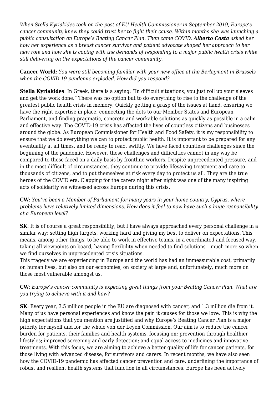*When Stella Kyriakides took on the post of EU Health Commissioner in September 2019, Europe's cancer community knew they could trust her to fight their cause. Within months she was launching a public consultation on Europe's Beating Cancer Plan. Then came COVID. Alberto Costa asked her how her experience as a breast cancer survivor and patient advocate shaped her approach to her new role and how she is coping with the demands of responding to a major public health crisis while still delivering on the expectations of the cancer community.*

**Cancer World**: *You were still becoming familiar with your new office at the Berlaymont in Brussels when the COVID-19 pandemic exploded. How did you respond?*

**Stella Kyriakides**: In Greek, there is a saying: "In difficult situations, you just roll up your sleeves and get the work done." There was no option but to do everything to rise to the challenge of the greatest public health crisis in memory. Quickly getting a grasp of the issues at hand, ensuring we have the right expertise in place, connecting the dots to our Member States and European Parliament, and finding pragmatic, concrete and workable solutions as quickly as possible in a calm and effective way. The COVID-19 crisis has affected the lives of countless citizens and businesses around the globe. As European Commissioner for Health and Food Safety, it is my responsibility to ensure that we do everything we can to protect public health. It is important to be prepared for any eventuality at all times, and be ready to react swiftly. We have faced countless challenges since the beginning of the pandemic. However, these challenges and difficulties cannot in any way be compared to those faced on a daily basis by frontline workers. Despite unprecedented pressure, and in the most difficult of circumstances, they continue to provide lifesaving treatment and care to thousands of citizens, and to put themselves at risk every day to protect us all. They are the true heroes of the COVID era. Clapping for the carers night after night was one of the many inspiring acts of solidarity we witnessed across Europe during this crisis.

**CW**: *You've been a Member of Parliament for many years in your home country, Cyprus, where problems have relatively limited dimensions. How does it feel to now have such a huge responsibility at a European level?*

**SK**: It is of course a great responsibility, but I have always approached every personal challenge in a similar way: setting high targets, working hard and giving my best to deliver on expectations. This means, among other things, to be able to work in effective teams, in a coordinated and focused way, taking all viewpoints on board, having flexibility when needed to find solutions – much more so when we find ourselves in unprecedented crisis situations.

This tragedy we are experiencing in Europe and the world has had an immeasurable cost, primarily on human lives, but also on our economies, on society at large and, unfortunately, much more on those most vulnerable amongst us.

### **CW**: *Europe's cancer community is expecting great things from your Beating Cancer Plan. What are you trying to achieve with it and how?*

**SK**: Every year, 3.5 million people in the EU are diagnosed with cancer, and 1.3 million die from it. Many of us have personal experiences and know the pain it causes for those we love. This is why the high expectations that you mention are justified and why Europe's Beating Cancer Plan is a major priority for myself and for the whole von der Leyen Commission. Our aim is to reduce the cancer burden for patients, their families and health systems, focusing on: prevention through healthier lifestyles; improved screening and early detection; and equal access to medicines and innovative treatments. With this focus, we are aiming to achieve a better quality of life for cancer patients, for those living with advanced disease, for survivors and carers. In recent months, we have also seen how the COVID-19 pandemic has affected cancer prevention and care, underlining the importance of robust and resilient health systems that function in all circumstances. Europe has been actively